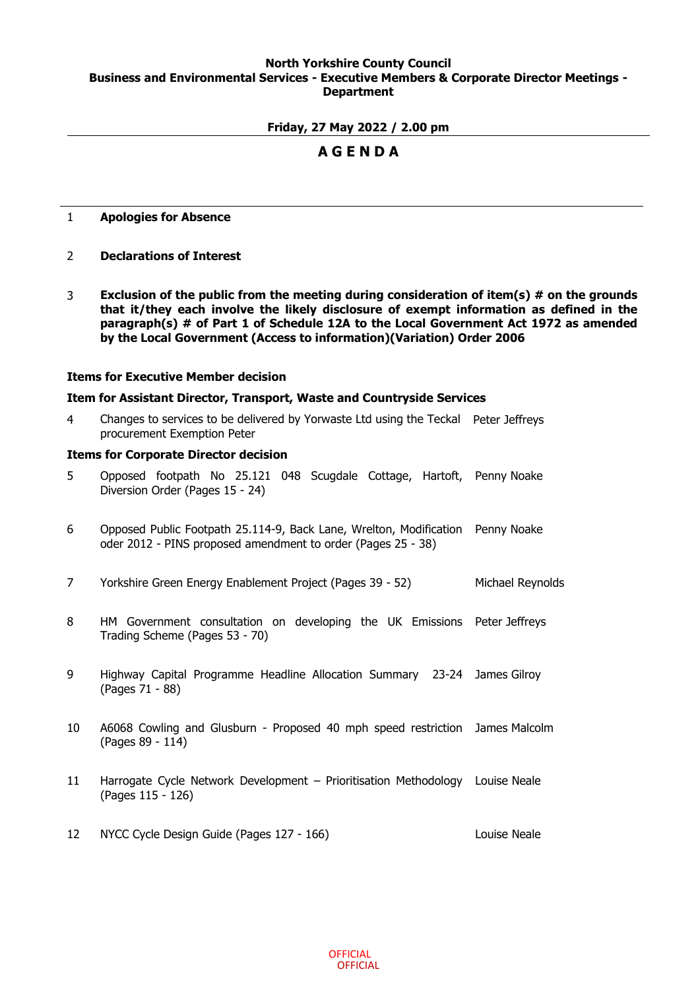# **North Yorkshire County Council Business and Environmental Services - Executive Members & Corporate Director Meetings - Department**

# **Friday, 27 May 2022 / 2.00 pm**

# **A G E N D A**

# 1 **Apologies for Absence**

- 2 **Declarations of Interest**
- 3 **Exclusion of the public from the meeting during consideration of item(s) # on the grounds that it/they each involve the likely disclosure of exempt information as defined in the paragraph(s) # of Part 1 of Schedule 12A to the Local Government Act 1972 as amended by the Local Government (Access to information)(Variation) Order 2006**

### **Items for Executive Member decision**

## **Item for Assistant Director, Transport, Waste and Countryside Services**

4 Changes to services to be delivered by Yorwaste Ltd using the Teckal Peter Jeffreys procurement Exemption Peter

### **Items for Corporate Director decision**

- 5 Opposed footpath No 25.121 048 Scugdale Cottage, Hartoft, Penny Noake Diversion Order (Pages 15 - 24)
- 6 Opposed Public Footpath 25.114-9, Back Lane, Wrelton, Modification oder 2012 - PINS proposed amendment to order (Pages 25 - 38) Penny Noake
- 7 Yorkshire Green Energy Enablement Project (Pages 39 52) Michael Reynolds
- 8 HM Government consultation on developing the UK Emissions Peter Jeffreys Trading Scheme (Pages 53 - 70)
- 9 Highway Capital Programme Headline Allocation Summary 23-24 James Gilroy (Pages 71 - 88)
- 10 A6068 Cowling and Glusburn Proposed 40 mph speed restriction James Malcolm (Pages 89 - 114)
- 11 Harrogate Cycle Network Development Prioritisation Methodology Louise Neale (Pages 115 - 126)
- 12 NYCC Cycle Design Guide (Pages 127 166) Louise Neale